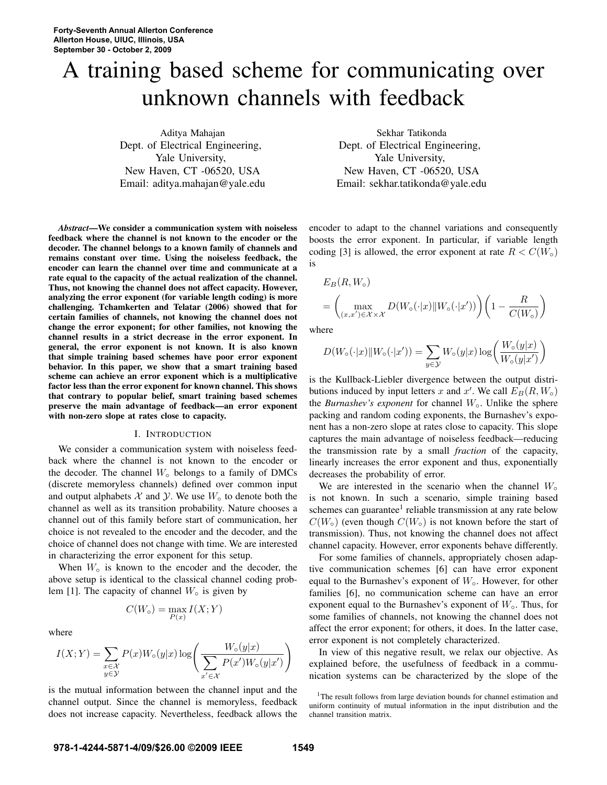# A training based scheme for communicating over unknown channels with feedback

Aditya Mahajan Dept. of Electrical Engineering, Yale University, New Haven, CT -06520, USA Email: aditya.mahajan@yale.edu

*Abstract*—We consider a communication system with noiseless feedback where the channel is not known to the encoder or the decoder. The channel belongs to a known family of channels and remains constant over time. Using the noiseless feedback, the encoder can learn the channel over time and communicate at a rate equal to the capacity of the actual realization of the channel. Thus, not knowing the channel does not affect capacity. However, analyzing the error exponent (for variable length coding) is more challenging. Tchamkerten and Telatar (2006) showed that for certain families of channels, not knowing the channel does not change the error exponent; for other families, not knowing the channel results in a strict decrease in the error exponent. In general, the error exponent is not known. It is also known that simple training based schemes have poor error exponent behavior. In this paper, we show that a smart training based scheme can achieve an error exponent which is a multiplicative factor less than the error exponent for known channel. This shows that contrary to popular belief, smart training based schemes preserve the main advantage of feedback—an error exponent with non-zero slope at rates close to capacity.

#### I. INTRODUCTION

We consider a communication system with noiseless feedback where the channel is not known to the encoder or the decoder. The channel  $W_0$  belongs to a family of DMCs (discrete memoryless channels) defined over common input and output alphabets  $X$  and  $Y$ . We use  $W_0$  to denote both the channel as well as its transition probability. Nature chooses a channel out of this family before start of communication, her choice is not revealed to the encoder and the decoder, and the choice of channel does not change with time. We are interested in characterizing the error exponent for this setup.

When  $W_0$  is known to the encoder and the decoder, the above setup is identical to the classical channel coding problem [1]. The capacity of channel  $W_0$  is given by

$$
C(W_{\circ}) = \max_{P(x)} I(X;Y)
$$

where

$$
I(X;Y) = \sum_{\substack{x \in \mathcal{X} \\ y \in \mathcal{Y}}} P(x)W_{\circ}(y|x) \log \left( \frac{W_{\circ}(y|x)}{\sum_{x' \in \mathcal{X}} P(x')W_{\circ}(y|x')} \right)
$$

is the mutual information between the channel input and the channel output. Since the channel is memoryless, feedback does not increase capacity. Nevertheless, feedback allows the

Sekhar Tatikonda Dept. of Electrical Engineering, Yale University, New Haven, CT -06520, USA Email: sekhar.tatikonda@yale.edu

encoder to adapt to the channel variations and consequently boosts the error exponent. In particular, if variable length coding [3] is allowed, the error exponent at rate  $R < C(W_0)$ is

$$
E_B(R, W_0)
$$
  
= 
$$
\left(\max_{(x,x') \in \mathcal{X} \times \mathcal{X}} D(W_0(\cdot|x) || W_0(\cdot|x'))\right) \left(1 - \frac{R}{C(W_0)}\right)
$$

where

$$
D(W_\circ(\cdot|x)\|W_\circ(\cdot|x')) = \sum_{y \in \mathcal{Y}} W_\circ(y|x)\log\left(\frac{W_\circ(y|x)}{W_\circ(y|x')}\right)
$$

is the Kullback-Liebler divergence between the output distributions induced by input letters x and x'. We call  $E_B(R, W_0)$ the *Burnashev's exponent* for channel W◦. Unlike the sphere packing and random coding exponents, the Burnashev's exponent has a non-zero slope at rates close to capacity. This slope captures the main advantage of noiseless feedback—reducing the transmission rate by a small *fraction* of the capacity, linearly increases the error exponent and thus, exponentially decreases the probability of error.

We are interested in the scenario when the channel  $W_0$ is not known. In such a scenario, simple training based schemes can guarantee<sup>1</sup> reliable transmission at any rate below  $C(W<sub>o</sub>)$  (even though  $C(W<sub>o</sub>)$  is not known before the start of transmission). Thus, not knowing the channel does not affect channel capacity. However, error exponents behave differently.

For some families of channels, appropriately chosen adaptive communication schemes [6] can have error exponent equal to the Burnashev's exponent of  $W<sub>o</sub>$ . However, for other families [6], no communication scheme can have an error exponent equal to the Burnashev's exponent of  $W<sub>o</sub>$ . Thus, for some families of channels, not knowing the channel does not affect the error exponent; for others, it does. In the latter case, error exponent is not completely characterized.

In view of this negative result, we relax our objective. As explained before, the usefulness of feedback in a communication systems can be characterized by the slope of the

<sup>&</sup>lt;sup>1</sup>The result follows from large deviation bounds for channel estimation and uniform continuity of mutual information in the input distribution and the channel transition matrix.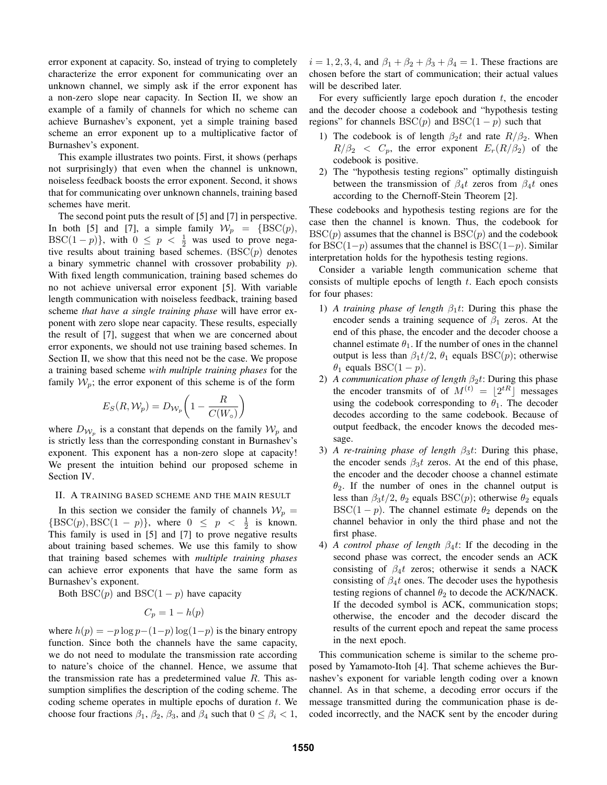error exponent at capacity. So, instead of trying to completely characterize the error exponent for communicating over an unknown channel, we simply ask if the error exponent has a non-zero slope near capacity. In Section II, we show an example of a family of channels for which no scheme can achieve Burnashev's exponent, yet a simple training based scheme an error exponent up to a multiplicative factor of Burnashev's exponent.

This example illustrates two points. First, it shows (perhaps not surprisingly) that even when the channel is unknown, noiseless feedback boosts the error exponent. Second, it shows that for communicating over unknown channels, training based schemes have merit.

The second point puts the result of [5] and [7] in perspective. In both [5] and [7], a simple family  $W_p = \{\text{BSC}(p),$ BSC(1 – p)}, with  $0 \le p < \frac{1}{2}$  was used to prove negative results about training based schemes.  $(BSC(p))$  denotes a binary symmetric channel with crossover probability p). With fixed length communication, training based schemes do no not achieve universal error exponent [5]. With variable length communication with noiseless feedback, training based scheme *that have a single training phase* will have error exponent with zero slope near capacity. These results, especially the result of [7], suggest that when we are concerned about error exponents, we should not use training based schemes. In Section II, we show that this need not be the case. We propose a training based scheme *with multiple training phases* for the family  $W_p$ ; the error exponent of this scheme is of the form

$$
E_S(R, \mathcal{W}_p) = D_{\mathcal{W}_p} \left( 1 - \frac{R}{C(W_\circ)} \right)
$$

where  $D_{W_p}$  is a constant that depends on the family  $W_p$  and is strictly less than the corresponding constant in Burnashev's exponent. This exponent has a non-zero slope at capacity! We present the intuition behind our proposed scheme in Section IV.

### II. A TRAINING BASED SCHEME AND THE MAIN RESULT

In this section we consider the family of channels  $W_p =$  ${BSC(p), BSC(1-p)}$ , where  $0 \le p \le \frac{1}{2}$  is known. This family is used in [5] and [7] to prove negative results about training based schemes. We use this family to show that training based schemes with *multiple training phases* can achieve error exponents that have the same form as Burnashev's exponent.

Both BSC(p) and BSC(1 – p) have capacity

$$
C_p = 1 - h(p)
$$

where  $h(p) = -p \log p - (1-p) \log(1-p)$  is the binary entropy function. Since both the channels have the same capacity, we do not need to modulate the transmission rate according to nature's choice of the channel. Hence, we assume that the transmission rate has a predetermined value  $R$ . This assumption simplifies the description of the coding scheme. The coding scheme operates in multiple epochs of duration  $t$ . We choose four fractions  $\beta_1$ ,  $\beta_2$ ,  $\beta_3$ , and  $\beta_4$  such that  $0 \leq \beta_i < 1$ ,  $i = 1, 2, 3, 4$ , and  $\beta_1 + \beta_2 + \beta_3 + \beta_4 = 1$ . These fractions are chosen before the start of communication; their actual values will be described later.

For every sufficiently large epoch duration  $t$ , the encoder and the decoder choose a codebook and "hypothesis testing regions" for channels  $BSC(p)$  and  $BSC(1 - p)$  such that

- 1) The codebook is of length  $\beta_2 t$  and rate  $R/\beta_2$ . When  $R/\beta_2 \ll C_p$ , the error exponent  $E_r(R/\beta_2)$  of the codebook is positive.
- 2) The "hypothesis testing regions" optimally distinguish between the transmission of  $\beta_4 t$  zeros from  $\beta_4 t$  ones according to the Chernoff-Stein Theorem [2].

These codebooks and hypothesis testing regions are for the case then the channel is known. Thus, the codebook for  $BSC(p)$  assumes that the channel is  $BSC(p)$  and the codebook for BSC(1−p) assumes that the channel is BSC(1−p). Similar interpretation holds for the hypothesis testing regions.

Consider a variable length communication scheme that consists of multiple epochs of length t. Each epoch consists for four phases:

- 1) *A training phase of length*  $\beta_1 t$ : During this phase the encoder sends a training sequence of  $\beta_1$  zeros. At the end of this phase, the encoder and the decoder choose a channel estimate  $\theta_1$ . If the number of ones in the channel output is less than  $\beta_1 t/2$ ,  $\theta_1$  equals BSC(p); otherwise  $\theta_1$  equals BSC(1 – p).
- 2) *A communication phase of length*  $β_2t$ : During this phase the encoder transmits of of  $M^{(t)} = \lfloor 2^{tR} \rfloor$  messages using the codebook corresponding to  $\theta_1$ . The decoder decodes according to the same codebook. Because of output feedback, the encoder knows the decoded message.
- 3) *A re-training phase of length*  $\beta_3 t$ : During this phase, the encoder sends  $\beta_3 t$  zeros. At the end of this phase, the encoder and the decoder choose a channel estimate  $\theta_2$ . If the number of ones in the channel output is less than  $\beta_3 t/2$ ,  $\theta_2$  equals BSC(p); otherwise  $\theta_2$  equals  $BSC(1 - p)$ . The channel estimate  $\theta_2$  depends on the channel behavior in only the third phase and not the first phase.
- 4) *A control phase of length* β4t: If the decoding in the second phase was correct, the encoder sends an ACK consisting of  $\beta_4 t$  zeros; otherwise it sends a NACK consisting of  $\beta_4 t$  ones. The decoder uses the hypothesis testing regions of channel  $\theta_2$  to decode the ACK/NACK. If the decoded symbol is ACK, communication stops; otherwise, the encoder and the decoder discard the results of the current epoch and repeat the same process in the next epoch.

This communication scheme is similar to the scheme proposed by Yamamoto-Itoh [4]. That scheme achieves the Burnashev's exponent for variable length coding over a known channel. As in that scheme, a decoding error occurs if the message transmitted during the communication phase is decoded incorrectly, and the NACK sent by the encoder during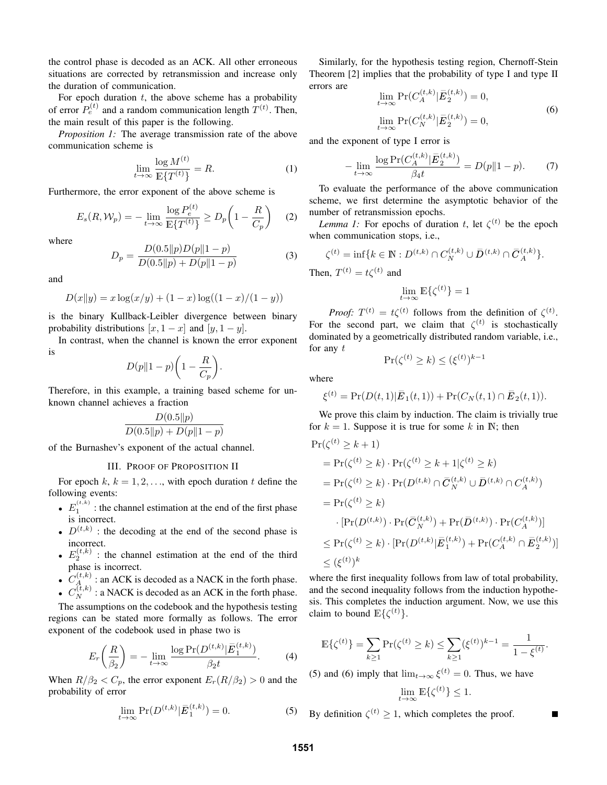the control phase is decoded as an ACK. All other erroneous situations are corrected by retransmission and increase only the duration of communication.

For epoch duration  $t$ , the above scheme has a probability of error  $P_e^{(t)}$  and a random communication length  $T^{(t)}$ . Then, the main result of this paper is the following.

*Proposition 1:* The average transmission rate of the above communication scheme is

$$
\lim_{t \to \infty} \frac{\log M^{(t)}}{\mathbb{E}\{T^{(t)}\}} = R. \tag{1}
$$

Furthermore, the error exponent of the above scheme is

$$
E_s(R, \mathcal{W}_p) = -\lim_{t \to \infty} \frac{\log P_e^{(t)}}{\mathbb{E}\{T^{(t)}\}} \ge D_p\left(1 - \frac{R}{C_p}\right) \tag{2}
$$

where

$$
D_p = \frac{D(0.5||p)D(p||1 - p)}{D(0.5||p) + D(p||1 - p)}
$$
\n(3)

and

$$
D(x||y) = x \log(x/y) + (1-x) \log((1-x)/(1-y))
$$

is the binary Kullback-Leibler divergence between binary probability distributions  $[x, 1 - x]$  and  $[y, 1 - y]$ .

In contrast, when the channel is known the error exponent is

$$
D(p||1-p)\bigg(1-\frac{R}{C_p}\bigg).
$$

Therefore, in this example, a training based scheme for unknown channel achieves a fraction

$$
\frac{D(0.5||p)}{D(0.5||p) + D(p||1-p)}
$$

of the Burnashev's exponent of the actual channel.

# III. PROOF OF PROPOSITION II

For epoch  $k, k = 1, 2, \ldots$ , with epoch duration t define the following events:

- $E_1^{(t,k)}$ : the channel estimation at the end of the first phase is incorrect.
- $D^{(t,k)}$  : the decoding at the end of the second phase is incorrect.
- $E_2^{(t,k)}$  : the channel estimation at the end of the third phase is incorrect.
- $\bullet$   $C_A^{(t,k)}$ : an ACK is decoded as a NACK in the forth phase.
- $C_N^{(t,k)}$ : a NACK is decoded as an ACK in the forth phase.

The assumptions on the codebook and the hypothesis testing regions can be stated more formally as follows. The error exponent of the codebook used in phase two is

$$
E_r\left(\frac{R}{\beta_2}\right) = -\lim_{t \to \infty} \frac{\log \Pr(D^{(t,k)} | \bar{E}_1^{(t,k)})}{\beta_2 t}.
$$
 (4)

When  $R/\beta_2 < C_p$ , the error exponent  $E_r(R/\beta_2) > 0$  and the probability of error

$$
\lim_{t \to \infty} \Pr(D^{(t,k)} | \bar{E}_1^{(t,k)}) = 0.
$$
 (5)

Similarly, for the hypothesis testing region, Chernoff-Stein Theorem [2] implies that the probability of type I and type II errors are  $\lambda$ 

$$
\lim_{t \to \infty} \Pr(C_A^{(t,k)} | \bar{E}_2^{(t,k)}) = 0,
$$
\n
$$
\lim_{t \to \infty} \Pr(C_N^{(t,k)} | \bar{E}_2^{(t,k)}) = 0,
$$
\n(6)

and the exponent of type I error is

$$
-\lim_{t \to \infty} \frac{\log \Pr(C_A^{(t,k)} | \bar{E}_2^{(t,k)})}{\beta_4 t} = D(p \| 1 - p). \tag{7}
$$

To evaluate the performance of the above communication scheme, we first determine the asymptotic behavior of the number of retransmission epochs.

*Lemma 1:* For epochs of duration t, let  $\zeta^{(t)}$  be the epoch when communication stops, i.e.,

$$
\zeta^{(t)} = \inf \{ k \in \mathbb{N} : D^{(t,k)} \cap C_N^{(t,k)} \cup \bar{D}^{(t,k)} \cap \bar{C}_A^{(t,k)} \}.
$$

Then,  $T^{(t)} = t\zeta^{(t)}$  and

$$
\lim_{t\to\infty}\mathbb{E}\{\zeta^{(t)}\}=1
$$

*Proof:*  $T^{(t)} = t\zeta^{(t)}$  follows from the definition of  $\zeta^{(t)}$ . For the second part, we claim that  $\zeta^{(t)}$  is stochastically dominated by a geometrically distributed random variable, i.e., for any  $t$ 

$$
\Pr(\zeta^{(t)} \ge k) \le (\xi^{(t)})^{k-1}
$$

where ξ

$$
\xi^{(t)} = \Pr(D(t,1)|\overline{E}_1(t,1)) + \Pr(C_N(t,1) \cap \overline{E}_2(t,1)).
$$

We prove this claim by induction. The claim is trivially true for  $k = 1$ . Suppose it is true for some k in N; then

$$
Pr(\zeta^{(t)} \ge k+1)
$$
  
=  $Pr(\zeta^{(t)} \ge k) \cdot Pr(\zeta^{(t)} \ge k+1 | \zeta^{(t)} \ge k)$   
=  $Pr(\zeta^{(t)} \ge k) \cdot Pr(D^{(t,k)} \cap \overline{C}_N^{(t,k)} \cup \overline{D}^{(t,k)} \cap C_A^{(t,k)})$   
=  $Pr(\zeta^{(t)} \ge k)$   
 $\cdot [Pr(D^{(t,k)}) \cdot Pr(\overline{C}_N^{(t,k)}) + Pr(\overline{D}^{(t,k)}) \cdot Pr(C_A^{(t,k)})]$   
 $\le Pr(\zeta^{(t)} \ge k) \cdot [Pr(D^{(t,k)} | \overline{E}_1^{(t,k)}) + Pr(C_A^{(t,k)} \cap \overline{E}_2^{(t,k)})]$   
 $\le (\xi^{(t)})^k$ 

where the first inequality follows from law of total probability, and the second inequality follows from the induction hypothesis. This completes the induction argument. Now, we use this claim to bound  $\mathbb{E}\{\zeta^{(t)}\}.$ 

$$
\mathbb{E}\{\zeta^{(t)}\} = \sum_{k\geq 1} \Pr(\zeta^{(t)} \geq k) \leq \sum_{k\geq 1} (\xi^{(t)})^{k-1} = \frac{1}{1 - \xi^{(t)}}.
$$

(5) and (6) imply that  $\lim_{t\to\infty} \xi^{(t)} = 0$ . Thus, we have  $\lim_{t\to\infty} \mathbb{E}\{\zeta^{(t)}\} \leq 1.$ 

By definition  $\zeta^{(t)} \geq 1$ , which completes the proof.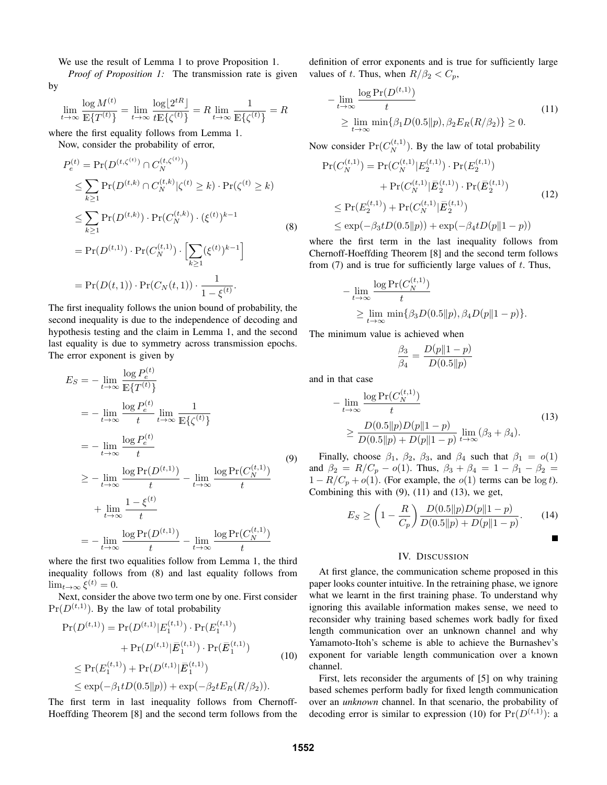We use the result of Lemma 1 to prove Proposition 1.

*Proof of Proposition 1:* The transmission rate is given by

$$
\lim_{t \to \infty} \frac{\log M^{(t)}}{\mathbb{E} \{ T^{(t)} \}} = \lim_{t \to \infty} \frac{\log \lfloor 2^{tR} \rfloor}{t \mathbb{E} \{ \zeta^{(t)} \}} = R \lim_{t \to \infty} \frac{1}{\mathbb{E} \{ \zeta^{(t)} \}} = R
$$

 $\langle \cdot, \cdot \rangle$ 

where the first equality follows from Lemma 1.

Now, consider the probability of error,

$$
P_e^{(t)} = \Pr(D^{(t,\zeta^{(t)})} \cap C_N^{(t,\zeta^{(t)})})
$$
  
\n
$$
\leq \sum_{k \geq 1} \Pr(D^{(t,k)} \cap C_N^{(t,k)} | \zeta^{(t)} \geq k) \cdot \Pr(\zeta^{(t)} \geq k)
$$
  
\n
$$
\leq \sum_{k \geq 1} \Pr(D^{(t,k)}) \cdot \Pr(C_N^{(t,k)}) \cdot (\xi^{(t)})^{k-1}
$$
  
\n
$$
= \Pr(D^{(t,1)}) \cdot \Pr(C_N^{(t,1)}) \cdot \left[ \sum_{k \geq 1} (\xi^{(t)})^{k-1} \right]
$$
  
\n
$$
= \Pr(D(t,1)) \cdot \Pr(C_N(t,1)) \cdot \frac{1}{1-\xi^{(t)}}.
$$

The first inequality follows the union bound of probability, the second inequality is due to the independence of decoding and hypothesis testing and the claim in Lemma 1, and the second last equality is due to symmetry across transmission epochs. The error exponent is given by

$$
E_S = -\lim_{t \to \infty} \frac{\log P_e^{(t)}}{\mathbb{E}\{T^{(t)}\}}
$$
  
\n
$$
= -\lim_{t \to \infty} \frac{\log P_e^{(t)}}{t} \lim_{t \to \infty} \frac{1}{\mathbb{E}\{\zeta^{(t)}\}}
$$
  
\n
$$
= -\lim_{t \to \infty} \frac{\log P_e^{(t)}}{t}
$$
  
\n
$$
\ge -\lim_{t \to \infty} \frac{\log \Pr(D^{(t,1)})}{t} - \lim_{t \to \infty} \frac{\log \Pr(C_N^{(t,1)})}{t}
$$
  
\n
$$
+ \lim_{t \to \infty} \frac{1 - \xi^{(t)}}{t}
$$
  
\n
$$
= -\lim_{t \to \infty} \frac{\log \Pr(D^{(t,1)})}{t} - \lim_{t \to \infty} \frac{\log \Pr(C_N^{(t,1)})}{t}
$$

where the first two equalities follow from Lemma 1, the third inequality follows from (8) and last equality follows from  $\lim_{t\to\infty} \xi^{(t)}=0.$ 

Next, consider the above two term one by one. First consider  $Pr(D^{(t,1)})$ . By the law of total probability

$$
Pr(D^{(t,1)}) = Pr(D^{(t,1)}|E_1^{(t,1)}) \cdot Pr(E_1^{(t,1)})
$$
  
+ 
$$
Pr(D^{(t,1)}|\bar{E}_1^{(t,1)}) \cdot Pr(\bar{E}_1^{(t,1)})
$$
  

$$
\leq Pr(E_1^{(t,1)}) + Pr(D^{(t,1)}|\bar{E}_1^{(t,1)})
$$
  

$$
\leq exp(-\beta_1 t D(0.5||p)) + exp(-\beta_2 t E_R(R/\beta_2)).
$$
 (10)

The first term in last inequality follows from Chernoff-Hoeffding Theorem [8] and the second term follows from the definition of error exponents and is true for sufficiently large values of t. Thus, when  $R/\beta_2 < C_p$ ,

$$
-\lim_{t \to \infty} \frac{\log \Pr(D^{(t,1)})}{t}
$$
  
\n
$$
\geq \lim_{t \to \infty} \min \{ \beta_1 D(0.5 \| p), \beta_2 E_R(R/\beta_2) \} \geq 0.
$$
 (11)

Now consider  $Pr(C_N^{(t,1)})$ . By the law of total probability

$$
\Pr(C_N^{(t,1)}) = \Pr(C_N^{(t,1)} | E_2^{(t,1)}) \cdot \Pr(E_2^{(t,1)}) + \Pr(C_N^{(t,1)} | \bar{E}_2^{(t,1)}) \cdot \Pr(\bar{E}_2^{(t,1)})
$$
  
\n
$$
\leq \Pr(E_2^{(t,1)}) + \Pr(C_N^{(t,1)} | \bar{E}_2^{(t,1)})
$$
  
\n
$$
\leq \exp(-\beta_3 t D(0.5 || p)) + \exp(-\beta_4 t D(p || 1 - p))
$$
\n(12)

where the first term in the last inequality follows from Chernoff-Hoeffding Theorem [8] and the second term follows from  $(7)$  and is true for sufficiently large values of t. Thus,

$$
- \lim_{t \to \infty} \frac{\log \Pr(C_N^{(t,1)})}{t}
$$
  
 
$$
\geq \lim_{t \to \infty} \min \{ \beta_3 D(0.5 || p), \beta_4 D(p || 1 - p) \}.
$$

The minimum value is achieved when

$$
\frac{\beta_3}{\beta_4} = \frac{D(p||1-p)}{D(0.5||p)}
$$

and in that case

$$
-\lim_{t \to \infty} \frac{\log \Pr(C_N^{(t,1)})}{t}
$$
\n
$$
\geq \frac{D(0.5||p)D(p||1-p)}{D(0.5||p) + D(p||1-p)} \lim_{t \to \infty} (\beta_3 + \beta_4).
$$
\n(13)

Finally, choose  $\beta_1$ ,  $\beta_2$ ,  $\beta_3$ , and  $\beta_4$  such that  $\beta_1 = o(1)$ and  $\beta_2 = R/C_p - o(1)$ . Thus,  $\beta_3 + \beta_4 = 1 - \beta_1 - \beta_2 =$  $1 - R/C_p + o(1)$ . (For example, the  $o(1)$  terms can be  $log t$ ). Combining this with  $(9)$ ,  $(11)$  and  $(13)$ , we get,

$$
E_S \ge \left(1 - \frac{R}{C_p}\right) \frac{D(0.5||p)D(p||1 - p)}{D(0.5||p) + D(p||1 - p)}.\tag{14}
$$

## IV. DISCUSSION

At first glance, the communication scheme proposed in this paper looks counter intuitive. In the retraining phase, we ignore what we learnt in the first training phase. To understand why ignoring this available information makes sense, we need to reconsider why training based schemes work badly for fixed length communication over an unknown channel and why Yamamoto-Itoh's scheme is able to achieve the Burnashev's exponent for variable length communication over a known channel.

First, lets reconsider the arguments of [5] on why training based schemes perform badly for fixed length communication over an *unknown* channel. In that scenario, the probability of decoding error is similar to expression (10) for  $Pr(D^{(t,1)})$ : a